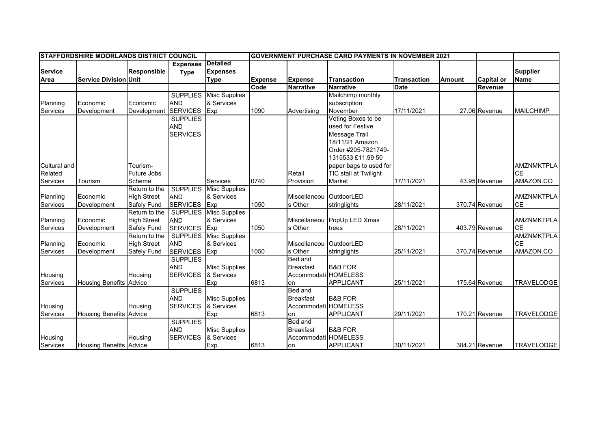|                 | <b>ISTAFFORDSHIRE MOORLANDS DISTRICT COUNCIL</b> |                    |                 |                      | <b>IGOVERNMENT PURCHASE CARD PAYMENTS IN NOVEMBER 2021</b> |                         |                             |                    |               |                   |                   |
|-----------------|--------------------------------------------------|--------------------|-----------------|----------------------|------------------------------------------------------------|-------------------------|-----------------------------|--------------------|---------------|-------------------|-------------------|
|                 |                                                  |                    | <b>Expenses</b> | <b>Detailed</b>      |                                                            |                         |                             |                    |               |                   |                   |
| <b>Service</b>  |                                                  | <b>Responsible</b> | <b>Type</b>     | <b>Expenses</b>      |                                                            |                         |                             |                    |               |                   | <b>Supplier</b>   |
| Area            | <b>Service Division Unit</b>                     |                    |                 | <b>Type</b>          | <b>Expense</b>                                             | <b>Expense</b>          | <b>Transaction</b>          | <b>Transaction</b> | <b>Amount</b> | <b>Capital or</b> | <b>Name</b>       |
|                 |                                                  |                    |                 |                      | Code                                                       | <b>Narrative</b>        | <b>Narrative</b>            | <b>Date</b>        |               | Revenue           |                   |
|                 |                                                  |                    | <b>SUPPLIES</b> | <b>Misc Supplies</b> |                                                            |                         | Mailchimp monthly           |                    |               |                   |                   |
| Planning        | Economic                                         | Economic           | <b>AND</b>      | & Services           |                                                            |                         | subscription                |                    |               |                   |                   |
| Services        | Development                                      | Development        | <b>SERVICES</b> | Exp                  | 1090                                                       | Advertising             | November                    | 17/11/2021         |               | 27.06 Revenue     | <b>MAILCHIMP</b>  |
|                 |                                                  |                    | <b>SUPPLIES</b> |                      |                                                            |                         | Voting Boxes to be          |                    |               |                   |                   |
|                 |                                                  |                    | <b>AND</b>      |                      |                                                            |                         | used for Festive            |                    |               |                   |                   |
|                 |                                                  |                    | <b>SERVICES</b> |                      |                                                            |                         | Message Trail               |                    |               |                   |                   |
|                 |                                                  |                    |                 |                      |                                                            |                         | 18/11/21 Amazon             |                    |               |                   |                   |
|                 |                                                  |                    |                 |                      |                                                            |                         | Order #205-7821749-         |                    |               |                   |                   |
|                 |                                                  |                    |                 |                      |                                                            |                         | 1315533 £11.99 50           |                    |               |                   |                   |
| Cultural and    |                                                  | Tourism-           |                 |                      |                                                            |                         | paper bags to used for      |                    |               |                   | <b>AMZNMKTPLA</b> |
| Related         |                                                  | Future Jobs        |                 |                      |                                                            | Retail                  | TIC stall at Twilight       |                    |               |                   | <b>CE</b>         |
| Services        | Tourism                                          | Scheme             |                 | <b>Services</b>      | 0740                                                       | Provision               | Market                      | 17/11/2021         |               | 43.95 Revenue     | AMAZON.CO         |
|                 |                                                  | Return to the      | <b>SUPPLIES</b> | <b>Misc Supplies</b> |                                                            |                         |                             |                    |               |                   |                   |
| Planning        | Economic                                         | <b>High Street</b> | <b>AND</b>      | & Services           |                                                            | Miscellaneou OutdoorLED |                             |                    |               |                   | <b>AMZNMKTPLA</b> |
| Services        | Development                                      | Safely Fund        | <b>SERVICES</b> | Exp                  | 1050                                                       | s Other                 | stringlights                | 28/11/2021         |               | 370.74 Revenue    | <b>CE</b>         |
|                 |                                                  | Return to the      | <b>SUPPLIES</b> | <b>Misc Supplies</b> |                                                            |                         |                             |                    |               |                   |                   |
| Planning        | Economic                                         | <b>High Street</b> | <b>AND</b>      | & Services           |                                                            |                         | Miscellaneou PopUp LED Xmas |                    |               |                   | <b>AMZNMKTPLA</b> |
| Services        | Development                                      | Safely Fund        | <b>SERVICES</b> | Exp                  | 1050                                                       | s Other                 | trees                       | 28/11/2021         |               | 403.79 Revenue    | <b>CE</b>         |
|                 |                                                  | Return to the      | <b>SUPPLIES</b> | <b>Misc Supplies</b> |                                                            |                         |                             |                    |               |                   | <b>AMZNMKTPLA</b> |
| Planning        | Economic                                         | <b>High Street</b> | <b>AND</b>      | & Services           |                                                            | Miscellaneou OutdoorLED |                             |                    |               |                   | <b>CE</b>         |
| <b>Services</b> | Development                                      | Safely Fund        | <b>SERVICES</b> | Exp                  | 1050                                                       | s Other                 | stringlights                | 25/11/2021         |               | 370.74 Revenue    | AMAZON.CO         |
|                 |                                                  |                    | <b>SUPPLIES</b> |                      |                                                            | Bed and                 |                             |                    |               |                   |                   |
|                 |                                                  |                    | <b>AND</b>      | <b>Misc Supplies</b> |                                                            | <b>Breakfast</b>        | <b>B&amp;B FOR</b>          |                    |               |                   |                   |
| Housing         |                                                  | Housing            | <b>SERVICES</b> | & Services           |                                                            | Accommodati HOMELESS    |                             |                    |               |                   |                   |
| Services        | <b>Housing Benefits Advice</b>                   |                    |                 | Exp                  | 6813                                                       | on                      | <b>APPLICANT</b>            | 25/11/2021         |               | 175.64 Revenue    | <b>TRAVELODGE</b> |
|                 |                                                  |                    | <b>SUPPLIES</b> |                      |                                                            | Bed and                 |                             |                    |               |                   |                   |
|                 |                                                  |                    | <b>AND</b>      | <b>Misc Supplies</b> |                                                            | <b>Breakfast</b>        | <b>B&amp;B FOR</b>          |                    |               |                   |                   |
| Housing         |                                                  | Housing            | <b>SERVICES</b> | & Services           |                                                            | Accommodati HOMELESS    |                             |                    |               |                   |                   |
| Services        | <b>Housing Benefits</b>                          | Advice             |                 | Exp                  | 6813                                                       | on                      | <b>APPLICANT</b>            | 29/11/2021         |               | 170.21 Revenue    | <b>TRAVELODGE</b> |
|                 |                                                  |                    | <b>SUPPLIES</b> |                      |                                                            | Bed and                 |                             |                    |               |                   |                   |
|                 |                                                  |                    | <b>AND</b>      | <b>Misc Supplies</b> |                                                            | <b>Breakfast</b>        | <b>B&amp;B FOR</b>          |                    |               |                   |                   |
| Housing         |                                                  | Housing            | <b>SERVICES</b> | & Services           |                                                            | Accommodati HOMELESS    |                             |                    |               |                   |                   |
| Services        | <b>Housing Benefits Advice</b>                   |                    |                 | Exp                  | 6813                                                       | on                      | <b>APPLICANT</b>            | 30/11/2021         |               | 304.21 Revenue    | <b>TRAVELODGE</b> |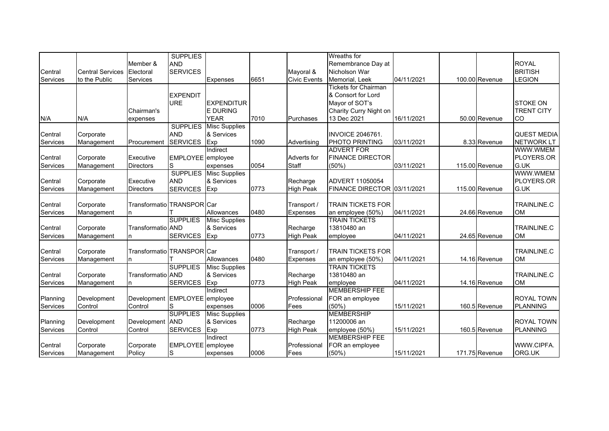|          |                         |                            | <b>SUPPLIES</b>   |                      |      |                     | Wreaths for                 |            |                |                    |
|----------|-------------------------|----------------------------|-------------------|----------------------|------|---------------------|-----------------------------|------------|----------------|--------------------|
|          |                         | Member &                   | <b>AND</b>        |                      |      |                     | Remembrance Day at          |            |                | <b>ROYAL</b>       |
| Central  | <b>Central Services</b> | Electoral                  | <b>SERVICES</b>   |                      |      | Mayoral &           | Nicholson War               |            |                | <b>BRITISH</b>     |
| Services | to the Public           | Services                   |                   | <b>Expenses</b>      | 6651 | <b>Civic Events</b> | Memorial, Leek              | 04/11/2021 | 100.00 Revenue | <b>LEGION</b>      |
|          |                         |                            |                   |                      |      |                     | <b>Tickets for Chairman</b> |            |                |                    |
|          |                         |                            | <b>EXPENDIT</b>   |                      |      |                     | & Consort for Lord          |            |                |                    |
|          |                         |                            | <b>URE</b>        | <b>EXPENDITUR</b>    |      |                     | Mayor of SOT's              |            |                | <b>STOKE ON</b>    |
|          |                         | Chairman's                 |                   | <b>E DURING</b>      |      |                     | Charity Curry Night on      |            |                | <b>TRENT CITY</b>  |
| N/A      | N/A                     | expenses                   |                   | <b>YEAR</b>          | 7010 | Purchases           | 13 Dec 2021                 | 16/11/2021 | 50.00 Revenue  | CO                 |
|          |                         |                            | <b>SUPPLIES</b>   | <b>Misc Supplies</b> |      |                     |                             |            |                |                    |
| Central  | Corporate               |                            | <b>AND</b>        | & Services           |      |                     | <b>INVOICE 2046761.</b>     |            |                | <b>QUEST MEDIA</b> |
| Services | Management              | Procurement                | <b>SERVICES</b>   | Exp                  | 1090 | Advertising         | PHOTO PRINTING              | 03/11/2021 | 8.33 Revenue   | <b>NETWORK LT</b>  |
|          |                         |                            |                   | Indirect             |      |                     | <b>ADVERT FOR</b>           |            |                | WWW.WMEM           |
| Central  | Corporate               | Executive                  | EMPLOYEE employee |                      |      | Adverts for         | <b>FINANCE DIRECTOR</b>     |            |                | PLOYERS.OR         |
| Services | Management              | <b>Directors</b>           | S                 | expenses             | 0054 | Staff               | (50%)                       | 03/11/2021 | 115.00 Revenue | G.UK               |
|          |                         |                            | <b>SUPPLIES</b>   | <b>Misc Supplies</b> |      |                     |                             |            |                | WWW.WMEM           |
| Central  | Corporate               | Executive                  | <b>AND</b>        | & Services           |      | Recharge            | ADVERT 11050054             |            |                | PLOYERS.OR         |
| Services | Management              | <b>Directors</b>           | <b>SERVICES</b>   | Exp                  | 0773 | <b>High Peak</b>    | FINANCE DIRECTOR 03/11/2021 |            | 115.00 Revenue | G.UK               |
|          |                         |                            |                   |                      |      |                     |                             |            |                |                    |
| Central  | Corporate               | Transformatio TRANSPOR Car |                   |                      |      | Transport /         | <b>TRAIN TICKETS FOR</b>    |            |                | TRAINLINE.C        |
| Services | Management              | n                          |                   | Allowances           | 0480 | <b>Expenses</b>     | an employee (50%)           | 04/11/2021 | 24.66 Revenue  | <b>OM</b>          |
|          |                         |                            | <b>SUPPLIES</b>   | <b>Misc Supplies</b> |      |                     | <b>TRAIN TICKETS</b>        |            |                |                    |
| Central  | Corporate               | Transformatio AND          |                   | & Services           |      | Recharge            | 13810480 an                 |            |                | TRAINLINE.C        |
| Services | Management              |                            | <b>SERVICES</b>   | Exp                  | 0773 | <b>High Peak</b>    | employee                    | 04/11/2021 | 24.65 Revenue  | <b>OM</b>          |
|          |                         |                            |                   |                      |      |                     |                             |            |                |                    |
| Central  | Corporate               | Transformatio TRANSPOR Car |                   |                      |      | Transport /         | <b>TRAIN TICKETS FOR</b>    |            |                | <b>TRAINLINE.C</b> |
| Services | Management              |                            |                   | Allowances           | 0480 | Expenses            | an employee (50%)           | 04/11/2021 | 14.16 Revenue  | <b>OM</b>          |
|          |                         |                            | <b>SUPPLIES</b>   | <b>Misc Supplies</b> |      |                     | <b>TRAIN TICKETS</b>        |            |                |                    |
| Central  | Corporate               | Transformatio AND          |                   | & Services           |      | Recharge            | 13810480 an                 |            |                | TRAINLINE.C        |
| Services | Management              |                            | <b>SERVICES</b>   | Exp                  | 0773 | <b>High Peak</b>    | employee                    | 04/11/2021 | 14.16 Revenue  | <b>OM</b>          |
|          |                         |                            |                   | Indirect             |      |                     | <b>MEMBERSHIP FEE</b>       |            |                |                    |
| Planning | Development             | Development                | EMPLOYEE employee |                      |      | Professional        | FOR an employee             |            |                | ROYAL TOWN         |
| Services | Control                 | Control                    | S                 | expenses             | 0006 | Fees                | (50%)                       | 15/11/2021 | 160.5 Revenue  | <b>PLANNING</b>    |
|          |                         |                            | <b>SUPPLIES</b>   | <b>Misc Supplies</b> |      |                     | <b>MEMBERSHIP</b>           |            |                |                    |
| Planning | Development             | Development                | <b>AND</b>        | & Services           |      | Recharge            | 11200006 an                 |            |                | <b>ROYAL TOWN</b>  |
| Services | Control                 | Control                    | <b>SERVICES</b>   | Exp                  | 0773 | <b>High Peak</b>    | employee (50%)              | 15/11/2021 | 160.5 Revenue  | <b>PLANNING</b>    |
|          |                         |                            |                   | Indirect             |      |                     | <b>MEMBERSHIP FEE</b>       |            |                |                    |
| Central  | Corporate               | Corporate                  | EMPLOYEE employee |                      |      | Professional        | FOR an employee             |            |                | WWW.CIPFA.         |
| Services | Management              | Policy                     | S                 | expenses             | 0006 | Fees                | (50%)                       | 15/11/2021 | 171.75 Revenue | ORG.UK             |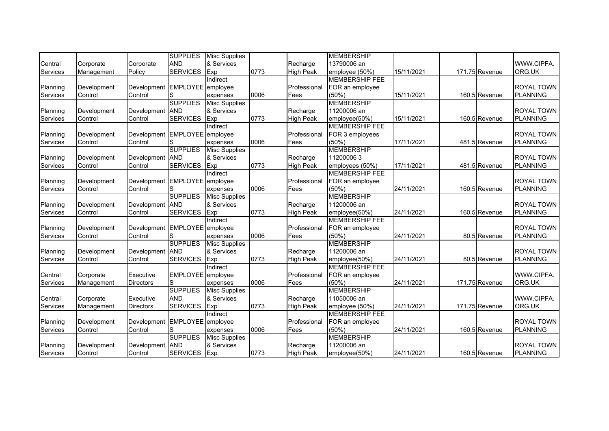|          |             |                               | <b>SUPPLIES</b>   | <b>Misc Supplies</b> |      |                  | <b>MEMBERSHIP</b>     |            |                |                   |
|----------|-------------|-------------------------------|-------------------|----------------------|------|------------------|-----------------------|------------|----------------|-------------------|
| Central  | Corporate   | Corporate                     | <b>AND</b>        | & Services           |      | Recharge         | 13790006 an           |            |                | WWW.CIPFA.        |
| Services | Management  | Policy                        | <b>SERVICES</b>   | Exp                  | 0773 | <b>High Peak</b> | employee (50%)        | 15/11/2021 | 171.75 Revenue | ORG.UK            |
|          |             |                               |                   | Indirect             |      |                  | <b>MEMBERSHIP FEE</b> |            |                |                   |
| Planning | Development | Development EMPLOYEE employee |                   |                      |      | Professional     | FOR an employee       |            |                | <b>ROYAL TOWN</b> |
| Services | Control     | Control                       | S                 | expenses             | 0006 | Fees             | (50%)                 | 15/11/2021 | 160.5 Revenue  | <b>PLANNING</b>   |
|          |             |                               | <b>SUPPLIES</b>   | <b>Misc Supplies</b> |      |                  | <b>MEMBERSHIP</b>     |            |                |                   |
| Planning | Development | Development                   | <b>AND</b>        | & Services           |      | Recharge         | 11200006 an           |            |                | ROYAL TOWN        |
| Services | Control     | Control                       | <b>SERVICES</b>   | Exp                  | 0773 | <b>High Peak</b> | employee(50%)         | 15/11/2021 | 160.5 Revenue  | <b>PLANNING</b>   |
|          |             |                               |                   | Indirect             |      |                  | <b>MEMBERSHIP FEE</b> |            |                |                   |
| Planning | Development | Development EMPLOYEE employee |                   |                      |      | Professional     | FOR 3 employees       |            |                | <b>ROYAL TOWN</b> |
| Services | Control     | Control                       | S                 | expenses             | 0006 | Fees             | (50%)                 | 17/11/2021 | 481.5 Revenue  | <b>PLANNING</b>   |
|          |             |                               | <b>SUPPLIES</b>   | <b>Misc Supplies</b> |      |                  | <b>MEMBERSHIP</b>     |            |                |                   |
| Planning | Development | Development AND               |                   | & Services           |      | Recharge         | 112000063             |            |                | <b>ROYAL TOWN</b> |
| Services | Control     | Control                       | <b>SERVICES</b>   | Exp                  | 0773 | <b>High Peak</b> | employees (50%)       | 17/11/2021 | 481.5 Revenue  | PLANNING          |
|          |             |                               |                   | Indirect             |      |                  | <b>MEMBERSHIP FEE</b> |            |                |                   |
| Planning | Development | Development EMPLOYEE employee |                   |                      |      | Professional     | FOR an employee       |            |                | <b>ROYAL TOWN</b> |
| Services | Control     | Control                       | S                 | expenses             | 0006 | Fees             | (50%)                 | 24/11/2021 | 160.5 Revenue  | <b>PLANNING</b>   |
|          |             |                               | <b>SUPPLIES</b>   | <b>Misc Supplies</b> |      |                  | <b>MEMBERSHIP</b>     |            |                |                   |
| Planning | Development | Development                   | <b>AND</b>        | & Services           |      | Recharge         | 11200006 an           |            |                | <b>ROYAL TOWN</b> |
| Services | Control     | Control                       | <b>SERVICES</b>   | Exp                  | 0773 | <b>High Peak</b> | employee(50%)         | 24/11/2021 | 160.5 Revenue  | PLANNING          |
|          |             |                               |                   | Indirect             |      |                  | <b>MEMBERSHIP FEE</b> |            |                |                   |
| Planning | Development | Development EMPLOYEE employee |                   |                      |      | Professional     | FOR an employee       |            |                | <b>ROYAL TOWN</b> |
| Services | Control     | Control                       | lS                | expenses             | 0006 | Fees             | (50%)                 | 24/11/2021 | 80.5 Revenue   | <b>PLANNING</b>   |
|          |             |                               | <b>SUPPLIES</b>   | <b>Misc Supplies</b> |      |                  | <b>MEMBERSHIP</b>     |            |                |                   |
| Planning | Development | Development                   | <b>AND</b>        | & Services           |      | Recharge         | 11200006 an           |            |                | <b>ROYAL TOWN</b> |
| Services | Control     | Control                       | <b>SERVICES</b>   | Exp                  | 0773 | <b>High Peak</b> | employee(50%)         | 24/11/2021 | 80.5 Revenue   | PLANNING          |
|          |             |                               |                   | Indirect             |      |                  | <b>MEMBERSHIP FEE</b> |            |                |                   |
| Central  | Corporate   | Executive                     | EMPLOYEE employee |                      |      | Professional     | FOR an employee       |            |                | WWW.CIPFA.        |
| Services | Management  | <b>Directors</b>              | S                 | expenses             | 0006 | Fees             | (50%)                 | 24/11/2021 | 171.75 Revenue | ORG.UK            |
|          |             |                               | <b>SUPPLIES</b>   | <b>Misc Supplies</b> |      |                  | <b>MEMBERSHIP</b>     |            |                |                   |
| Central  | Corporate   | Executive                     | <b>AND</b>        | & Services           |      | Recharge         | 11050006 an           |            |                | WWW.CIPFA.        |
| Services | Management  | <b>Directors</b>              | <b>SERVICES</b>   | Exp                  | 0773 | <b>High Peak</b> | employee (50%)        | 24/11/2021 | 171.75 Revenue | ORG.UK            |
|          |             |                               |                   | Indirect             |      |                  | <b>MEMBERSHIP FEE</b> |            |                |                   |
| Planning | Development | Development EMPLOYEE employee |                   |                      |      | Professional     | FOR an employee       |            |                | <b>ROYAL TOWN</b> |
| Services | Control     | Control                       | S                 | expenses             | 0006 | Fees             | (50%)                 | 24/11/2021 | 160.5 Revenue  | <b>PLANNING</b>   |
|          |             |                               | <b>SUPPLIES</b>   | <b>Misc Supplies</b> |      |                  | <b>MEMBERSHIP</b>     |            |                |                   |
| Planning | Development | Development                   | <b>AND</b>        | & Services           |      | Recharge         | 11200006 an           |            |                | <b>ROYAL TOWN</b> |
| Services | Control     | Control                       | <b>SERVICES</b>   | Exp                  | 0773 | <b>High Peak</b> | employee(50%)         | 24/11/2021 | 160.5 Revenue  | <b>PLANNING</b>   |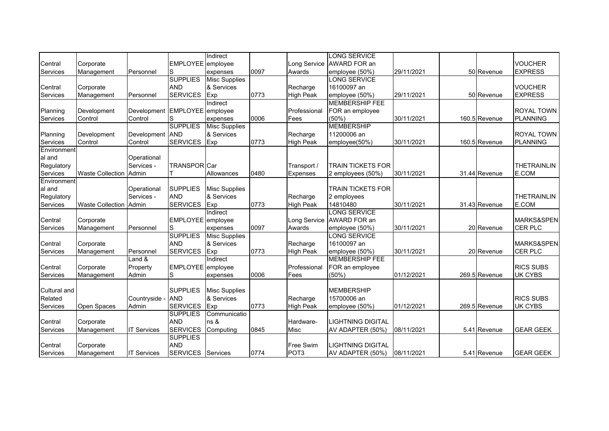|                 |                               |                               |                     | Indirect             |      |                  | LONG SERVICE              |            |               |                    |
|-----------------|-------------------------------|-------------------------------|---------------------|----------------------|------|------------------|---------------------------|------------|---------------|--------------------|
| Central         | Corporate                     |                               | EMPLOYEE employee   |                      |      |                  | Long Service AWARD FOR an |            |               | <b>VOUCHER</b>     |
| Services        | Management                    | Personnel                     | S                   | expenses             | 0097 | Awards           | employee (50%)            | 29/11/2021 | 50 Revenue    | <b>EXPRESS</b>     |
|                 |                               |                               | <b>SUPPLIES</b>     | <b>Misc Supplies</b> |      |                  | <b>LONG SERVICE</b>       |            |               |                    |
| Central         | Corporate                     |                               | <b>AND</b>          | & Services           |      | Recharge         | 16100097 an               |            |               | <b>VOUCHER</b>     |
| Services        | Management                    | Personnel                     | <b>SERVICES</b>     | Exp                  | 0773 | <b>High Peak</b> | employee (50%)            | 29/11/2021 | 50 Revenue    | <b>EXPRESS</b>     |
|                 |                               |                               |                     | Indirect             |      |                  | <b>MEMBERSHIP FEE</b>     |            |               |                    |
| Planning        | Development                   | Development EMPLOYEE employee |                     |                      |      | Professional     | FOR an employee           |            |               | ROYAL TOWN         |
| Services        | Control                       | Control                       | S                   | expenses             | 0006 | Fees             | (50%                      | 30/11/2021 | 160.5 Revenue | <b>PLANNING</b>    |
|                 |                               |                               | <b>SUPPLIES</b>     | Misc Supplies        |      |                  | <b>MEMBERSHIP</b>         |            |               |                    |
| Planning        | Development                   | Development                   | <b>AND</b>          | & Services           |      | Recharge         | 11200006 an               |            |               | <b>ROYAL TOWN</b>  |
| <b>Services</b> | Control                       | Control                       | <b>SERVICES</b>     | Exp                  | 0773 | <b>High Peak</b> | employee(50%)             | 30/11/2021 | 160.5 Revenue | <b>PLANNING</b>    |
| Environment     |                               |                               |                     |                      |      |                  |                           |            |               |                    |
| al and          |                               | Operational                   |                     |                      |      |                  |                           |            |               |                    |
| Regulatory      |                               | Services -                    | <b>TRANSPORICar</b> |                      |      | Transport /      | <b>TRAIN TICKETS FOR</b>  |            |               | <b>THETRAINLIN</b> |
| Services        | <b>Waste Collection Admin</b> |                               |                     | Allowances           | 0480 | <b>Expenses</b>  | 2 employees (50%)         | 30/11/2021 | 31.44 Revenue | E.COM              |
| Environment     |                               |                               |                     |                      |      |                  |                           |            |               |                    |
| al and          |                               | Operational                   | <b>SUPPLIES</b>     | <b>Misc Supplies</b> |      |                  | <b>TRAIN TICKETS FOR</b>  |            |               |                    |
| Regulatory      |                               | Services -                    | <b>AND</b>          | & Services           |      | Recharge         | 2 employees               |            |               | <b>THETRAINLIN</b> |
| Services        | <b>Waste Collection</b>       | Admin                         | <b>SERVICES</b>     | Exp                  | 0773 | <b>High Peak</b> | 14810480                  | 30/11/2021 | 31.43 Revenue | E.COM              |
|                 |                               |                               |                     | Indirect             |      |                  | <b>LONG SERVICE</b>       |            |               |                    |
| Central         | Corporate                     |                               | EMPLOYEE employee   |                      |      | Long Service     | AWARD FOR an              |            |               | MARKS&SPEN         |
| Services        | Management                    | Personnel                     | S                   | expenses             | 0097 | Awards           | employee (50%)            | 30/11/2021 | 20 Revenue    | CER PLC            |
|                 |                               |                               | <b>SUPPLIES</b>     | <b>Misc Supplies</b> |      |                  | LONG SERVICE              |            |               |                    |
| Central         | Corporate                     |                               | <b>AND</b>          | & Services           |      | Recharge         | 16100097 an               |            |               | MARKS&SPEN         |
| Services        | Management                    | Personnel                     | <b>SERVICES</b>     | Exp                  | 0773 | <b>High Peak</b> | employee (50%)            | 30/11/2021 | 20 Revenue    | CER PLC            |
|                 |                               | Land &                        |                     | Indirect             |      |                  | <b>MEMBERSHIP FEE</b>     |            |               |                    |
| Central         | Corporate                     | Property                      | EMPLOYEE employee   |                      |      | Professional     | FOR an employee           |            |               | <b>RICS SUBS</b>   |
| Services        | Management                    | Admin                         | S                   | expenses             | 0006 | Fees             | (50%)                     | 01/12/2021 | 269.5 Revenue | <b>UK CYBS</b>     |
|                 |                               |                               |                     |                      |      |                  |                           |            |               |                    |
| Cultural and    |                               |                               | <b>SUPPLIES</b>     | <b>Misc Supplies</b> |      |                  | <b>MEMBERSHIP</b>         |            |               |                    |
| Related         |                               | Countryside -                 | <b>AND</b>          | & Services           |      | Recharge         | 15700006 an               |            |               | <b>RICS SUBS</b>   |
| <b>Services</b> | Open Spaces                   | Admin                         | <b>SERVICES</b>     | Exp                  | 0773 | <b>High Peak</b> | employee (50%)            | 01/12/2021 | 269.5 Revenue | UK CYBS            |
|                 |                               |                               | <b>SUPPLIES</b>     | Communicatio         |      |                  |                           |            |               |                    |
| Central         | Corporate                     |                               | <b>AND</b>          | ns &                 |      | Hardware-        | <b>LIGHTNING DIGITAL</b>  |            |               |                    |
| Services        | Management                    | <b>IT Services</b>            | <b>SERVICES</b>     | Computing            | 0845 | Misc             | AV ADAPTER (50%)          | 08/11/2021 | 5.41 Revenue  | <b>GEAR GEEK</b>   |
|                 |                               |                               | <b>SUPPLIES</b>     |                      |      |                  |                           |            |               |                    |
| Central         | Corporate                     |                               | <b>AND</b>          |                      |      | Free Swim        | <b>LIGHTNING DIGITAL</b>  |            |               |                    |
| Services        | Management                    | <b>IT Services</b>            | SERVICES Services   |                      | 0774 | POT <sub>3</sub> | AV ADAPTER (50%)          | 08/11/2021 | 5.41 Revenue  | <b>GEAR GEEK</b>   |